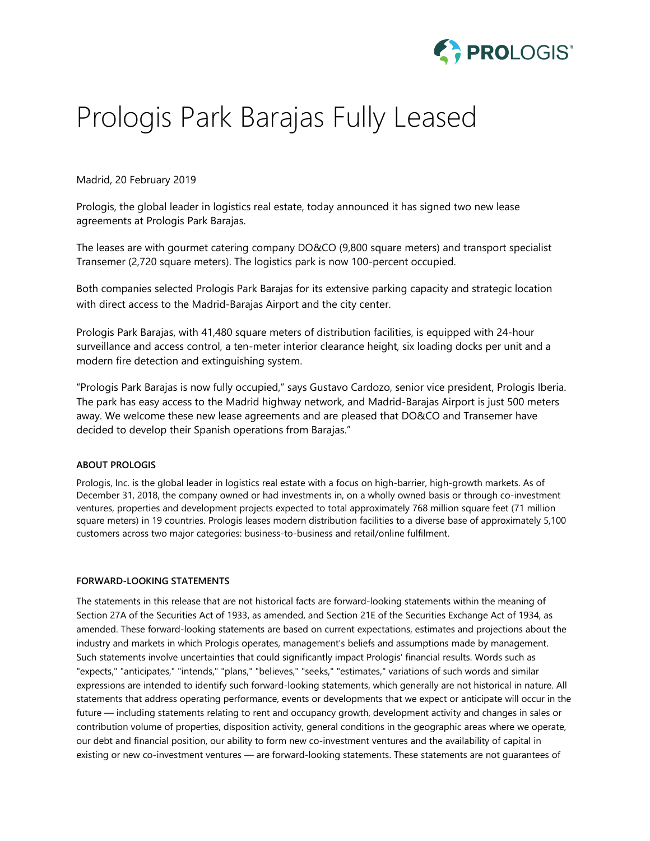

## Prologis Park Barajas Fully Leased

Madrid, 20 February 2019

Prologis, the global leader in logistics real estate, today announced it has signed two new lease agreements at Prologis Park Barajas.

The leases are with gourmet catering company DO&CO (9,800 square meters) and transport specialist Transemer (2,720 square meters). The logistics park is now 100-percent occupied.

Both companies selected Prologis Park Barajas for its extensive parking capacity and strategic location with direct access to the Madrid-Barajas Airport and the city center.

Prologis Park Barajas, with 41,480 square meters of distribution facilities, is equipped with 24-hour surveillance and access control, a ten-meter interior clearance height, six loading docks per unit and a modern fire detection and extinguishing system.

"Prologis Park Barajas is now fully occupied," says Gustavo Cardozo, senior vice president, Prologis Iberia. The park has easy access to the Madrid highway network, and Madrid-Barajas Airport is just 500 meters away. We welcome these new lease agreements and are pleased that DO&CO and Transemer have decided to develop their Spanish operations from Barajas."

## **ABOUT PROLOGIS**

Prologis, Inc. is the global leader in logistics real estate with a focus on high-barrier, high-growth markets. As of December 31, 2018, the company owned or had investments in, on a wholly owned basis or through co-investment ventures, properties and development projects expected to total approximately 768 million square feet (71 million square meters) in 19 countries. Prologis leases modern distribution facilities to a diverse base of approximately 5,100 customers across two major categories: business-to-business and retail/online fulfilment.

## **FORWARD-LOOKING STATEMENTS**

The statements in this release that are not historical facts are forward-looking statements within the meaning of Section 27A of the Securities Act of 1933, as amended, and Section 21E of the Securities Exchange Act of 1934, as amended. These forward-looking statements are based on current expectations, estimates and projections about the industry and markets in which Prologis operates, management's beliefs and assumptions made by management. Such statements involve uncertainties that could significantly impact Prologis' financial results. Words such as "expects," "anticipates," "intends," "plans," "believes," "seeks," "estimates," variations of such words and similar expressions are intended to identify such forward-looking statements, which generally are not historical in nature. All statements that address operating performance, events or developments that we expect or anticipate will occur in the future — including statements relating to rent and occupancy growth, development activity and changes in sales or contribution volume of properties, disposition activity, general conditions in the geographic areas where we operate, our debt and financial position, our ability to form new co-investment ventures and the availability of capital in existing or new co-investment ventures — are forward-looking statements. These statements are not guarantees of